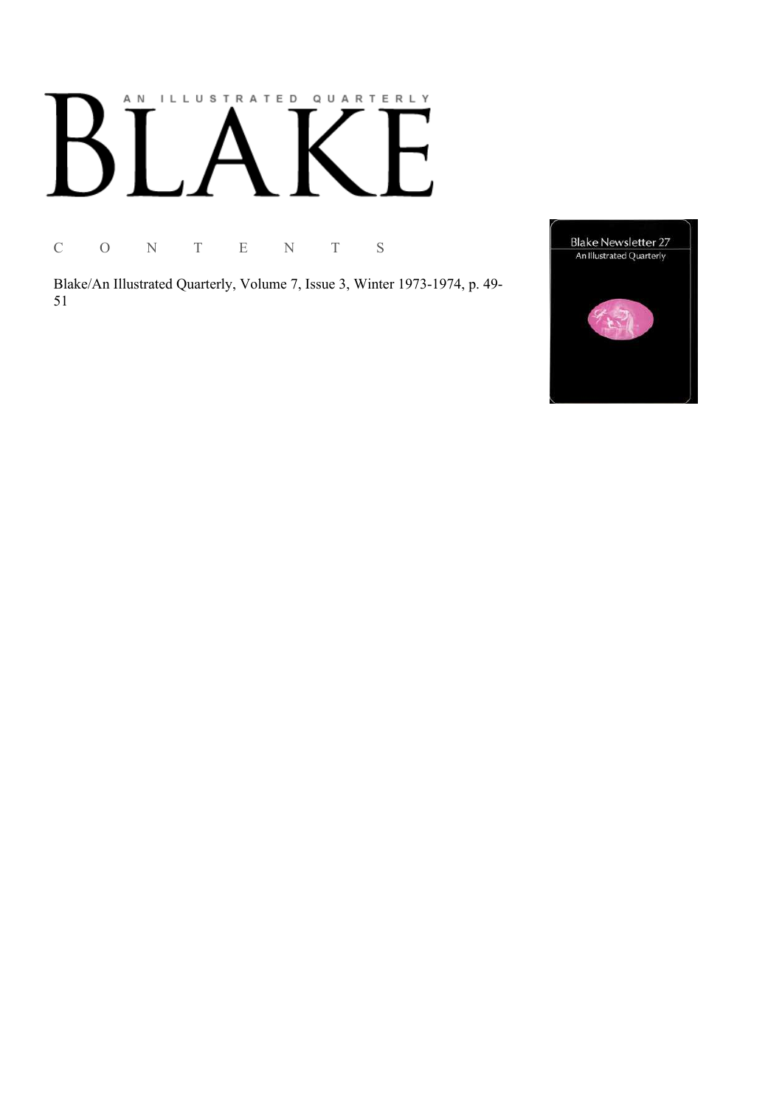# AN ILLUSTRATED QUARTERLY

C O N T E N T S

Blake/An Illustrated Quarterly, Volume 7, Issue 3, Winter 1973-1974, p. 49-51

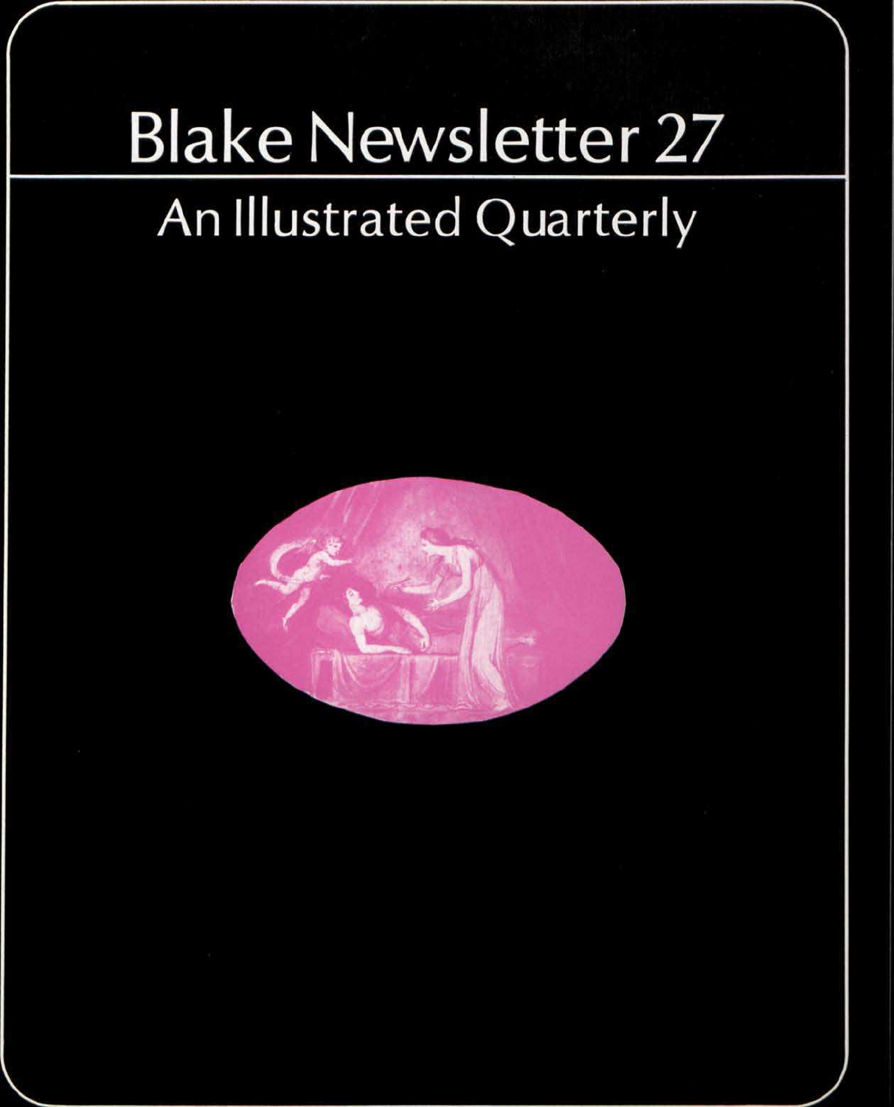## Blake Newsletter 27 An Illustrated Quarterly

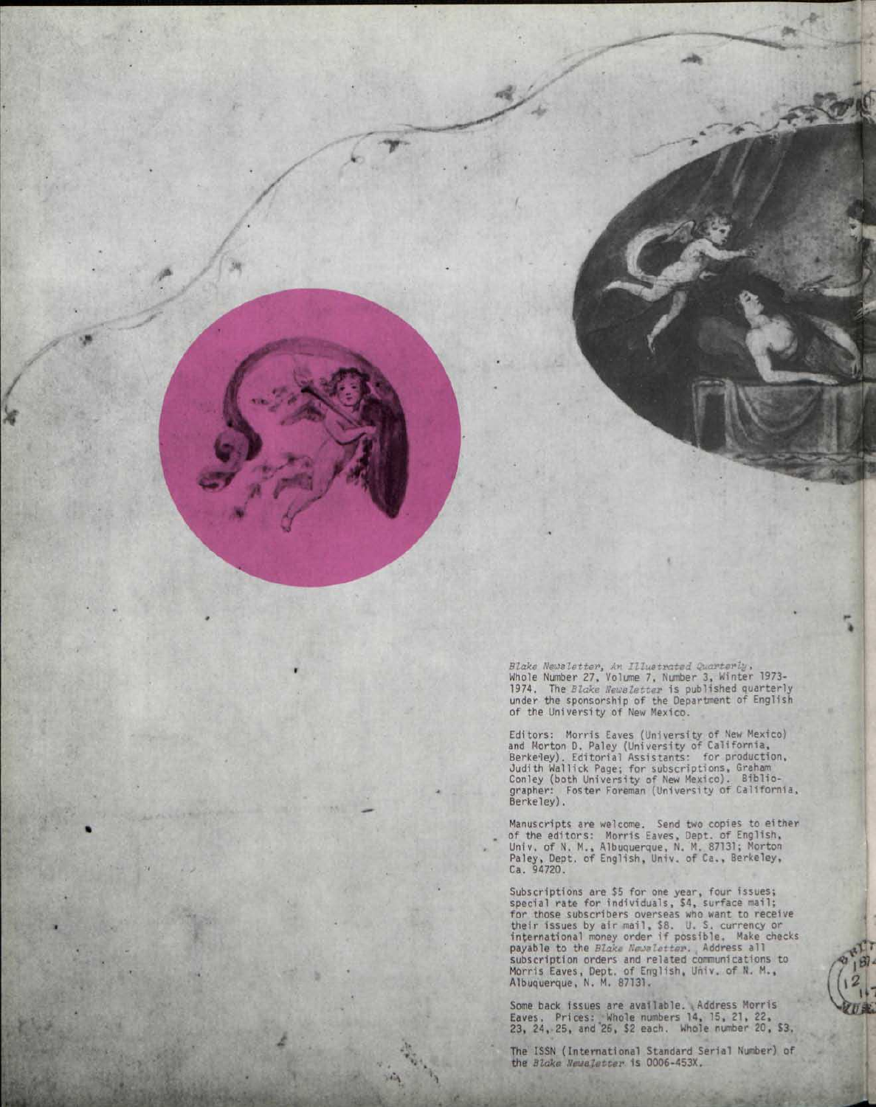*Blake Newsletter, An Illustrated garter*  Whole Number 27, Volume 7, Number 3, Winter 1973- 1974. The *Blake Newsletter* is published quarterly under the sponsorship of the Department of English of the University of New Mexico.

/  $\sqrt{2}$ 

*<st* 

*k* 

Editors: Morris Eaves (University of New Mexico)<br>and Morton D. Paley (University of California,<br>Berkeley). Editorial Assistants: for production,<br>Judith Wallick Page; for subscriptions, Graham<br>Conley (both University of New

Manuscripts are welcome. Send two copies to either of the editors: Morris Eaves, Dept. of English, Univ. of N. M., Albuquerque, N. M. 87131; Morton Paley, Dept. of English, Univ. of Ca., Berkeley, Ca. 94720.

Subscriptions are \$5 for one year, four issues; special rate for individuals, \$4, surface mail; for those subscribers overseas who want to receive their issues by air mail, \$8. U. S. currency or international money order if possible. Make checks payable to the *Blake Newaletter*. Address all subscription orders and related communications to Morris Eaves, Dept. of English, Univ. of N. M., Albuquerque, N. M. 87131.

Some back issues are available. Address Morris Eaves. Prices: Whole numbers 14, 15, 21, 22, 23, 24, 25, and "26, \$2 each. Whole number 20, S3.

20 萬

The ISSN (International Standard Serial Number) of the *Blake Newaletter* is 0006-453X.